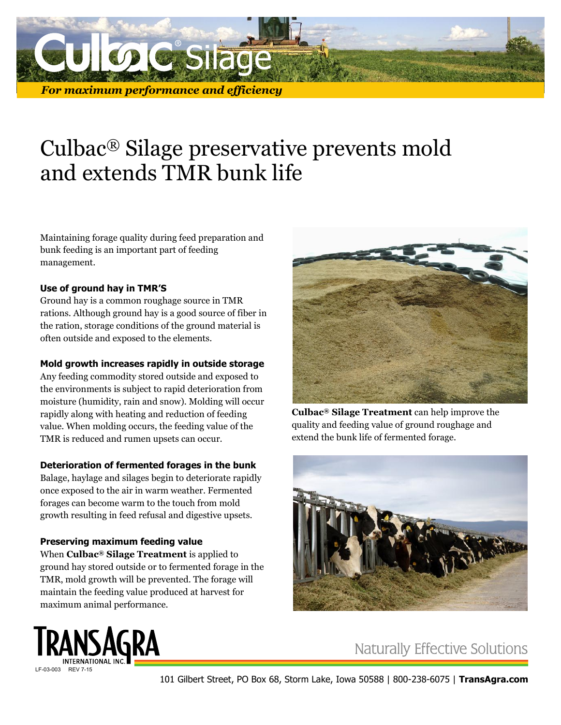

# Culbac® Silage preservative prevents mold and extends TMR bunk life

Maintaining forage quality during feed preparation and bunk feeding is an important part of feeding management.

#### **Use of ground hay in TMR'S**

Ground hay is a common roughage source in TMR rations. Although ground hay is a good source of fiber in the ration, storage conditions of the ground material is often outside and exposed to the elements.

#### **Mold growth increases rapidly in outside storage**

Any feeding commodity stored outside and exposed to the environments is subject to rapid deterioration from moisture (humidity, rain and snow). Molding will occur rapidly along with heating and reduction of feeding value. When molding occurs, the feeding value of the TMR is reduced and rumen upsets can occur.

## **Deterioration of fermented forages in the bunk**

Balage, haylage and silages begin to deteriorate rapidly once exposed to the air in warm weather. Fermented forages can become warm to the touch from mold growth resulting in feed refusal and digestive upsets.

## **Preserving maximum feeding value**

When **Culbac® Silage Treatment** is applied to ground hay stored outside or to fermented forage in the TMR, mold growth will be prevented. The forage will maintain the feeding value produced at harvest for maximum animal performance.



**Culbac® Silage Treatment** can help improve the quality and feeding value of ground roughage and extend the bunk life of fermented forage.





**Naturally Effective Solutions**